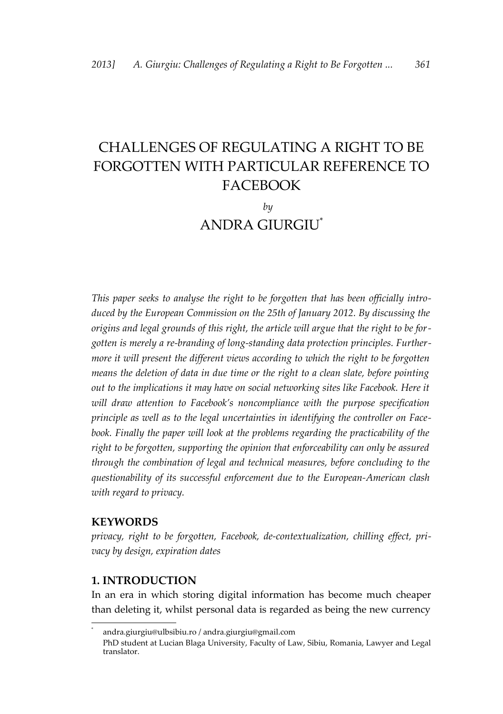# CHALLENGES OF REGULATING A RIGHT TO BE FORGOTTEN WITH PARTICULAR REFERENCE TO FACEBOOK

*by* ANDRA GIURGIU[\\*](#page-0-0)

*This paper seeks to analyse the right to be forgotten that has been officially introduced by the European Commission on the 25th of January 2012. By discussing the origins and legal grounds of this right, the article will argue that the right to be forgotten is merely a re-branding of long-standing data protection principles. Furthermore it will present the different views according to which the right to be forgotten means the deletion of data in due time or the right to a clean slate, before pointing out to the implications it may have on social networking sites like Facebook. Here it will draw attention to Facebook's noncompliance with the purpose specification principle as well as to the legal uncertainties in identifying the controller on Facebook. Finally the paper will look at the problems regarding the practicability of the right to be forgotten, supporting the opinion that enforceability can only be assured through the combination of legal and technical measures, before concluding to the questionability of its successful enforcement due to the European-American clash with regard to privacy.*

## **KEYWORDS**

*privacy, right to be forgotten, Facebook, de-contextualization, chilling effect, privacy by design, expiration dates*

## **1. INTRODUCTION**

In an era in which storing digital information has become much cheaper than deleting it, whilst personal data is regarded as being the new currency

<span id="page-0-0"></span><sup>\*</sup> andra.giurgiu@ulbsibiu.ro / andra.giurgiu@gmail.com

PhD student at Lucian Blaga University, Faculty of Law, Sibiu, Romania, Lawyer and Legal translator.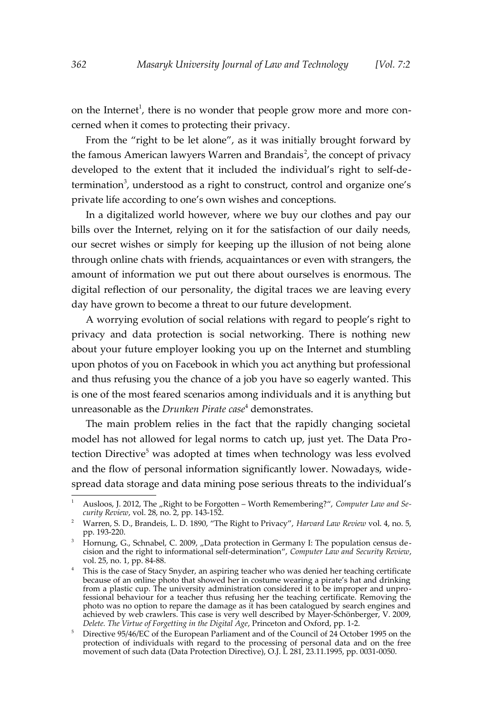on the Internet<sup>[1](#page-1-0)</sup>, there is no wonder that people grow more and more concerned when it comes to protecting their privacy.

From the "right to be let alone", as it was initially brought forward by the famous American lawyers Warren and Brandais<sup>[2](#page-1-1)</sup>, the concept of privacy developed to the extent that it included the individual's right to self-de-termination<sup>[3](#page-1-2)</sup>, understood as a right to construct, control and organize one's private life according to one's own wishes and conceptions.

In a digitalized world however, where we buy our clothes and pay our bills over the Internet, relying on it for the satisfaction of our daily needs, our secret wishes or simply for keeping up the illusion of not being alone through online chats with friends, acquaintances or even with strangers, the amount of information we put out there about ourselves is enormous. The digital reflection of our personality, the digital traces we are leaving every day have grown to become a threat to our future development.

A worrying evolution of social relations with regard to people's right to privacy and data protection is social networking. There is nothing new about your future employer looking you up on the Internet and stumbling upon photos of you on Facebook in which you act anything but professional and thus refusing you the chance of a job you have so eagerly wanted. This is one of the most feared scenarios among individuals and it is anything but unreasonable as the *Drunken Pirate case*[4](#page-1-3) demonstrates.

The main problem relies in the fact that the rapidly changing societal model has not allowed for legal norms to catch up, just yet. The Data Pro-tection Directive<sup>[5](#page-1-4)</sup> was adopted at times when technology was less evolved and the flow of personal information significantly lower. Nowadays, widespread data storage and data mining pose serious threats to the individual's

<span id="page-1-0"></span>Ausloos, J. 2012, The "Right to be Forgotten - Worth Remembering?", *Computer Law and Security Review*, vol. 28, no. 2, pp. 143-152.

<span id="page-1-1"></span><sup>2</sup> Warren, S. D., Brandeis, L. D. 1890, "The Right to Privacy", *Harvard Law Review* vol. 4, no. 5, pp. 193-220.

<span id="page-1-2"></span><sup>&</sup>lt;sup>3</sup> Hornung, G., Schnabel, C. 2009, "Data protection in Germany I: The population census decision and the right to informational self-determination", *Computer Law and Security Review*, vol. 25, no. 1, pp. 84-88.

<span id="page-1-3"></span><sup>&</sup>lt;sup>4</sup> This is the case of Stacy Snyder, an aspiring teacher who was denied her teaching certificate because of an online photo that showed her in costume wearing a pirate's hat and drinking from a plastic cup. The university administration considered it to be improper and unprofessional behaviour for a teacher thus refusing her the teaching certificate. Removing the photo was no option to repare the damage as it has been catalogued by search engines and achieved by web crawlers. This case is very well described by Mayer-Schönberger, V. 2009, *Delete. The Virtue of Forgetting in the Digital Age*, Princeton and Oxford, pp. 1-2.

<span id="page-1-4"></span><sup>&</sup>lt;sup>5</sup> Directive 95/46/EC of the European Parliament and of the Council of 24 October 1995 on the protection of individuals with regard to the processing of personal data and on the free movement of such data (Data Protection Directive), O.J. L 281, 23.11.1995, pp. 0031-0050.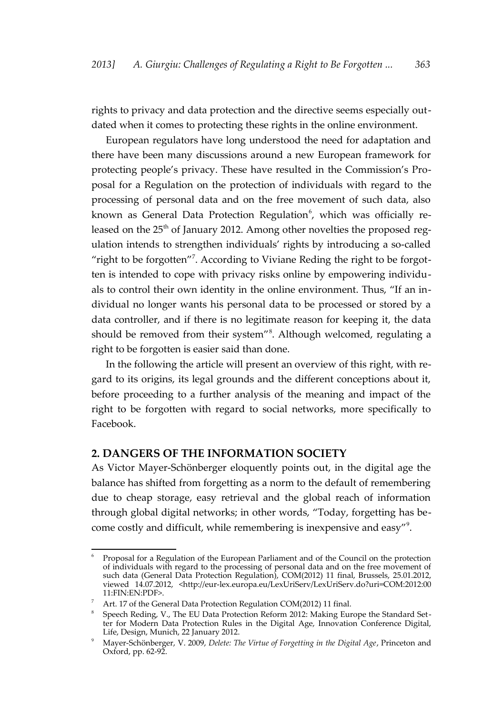rights to privacy and data protection and the directive seems especially outdated when it comes to protecting these rights in the online environment.

European regulators have long understood the need for adaptation and there have been many discussions around a new European framework for protecting people's privacy. These have resulted in the Commission's Proposal for a Regulation on the protection of individuals with regard to the processing of personal data and on the free movement of such data, also known as General Data Protection Regulation<sup>[6](#page-2-0)</sup>, which was officially released on the  $25<sup>th</sup>$  of January 2012. Among other novelties the proposed regulation intends to strengthen individuals' rights by introducing a so-called "right to be forgotten"<sup>[7](#page-2-1)</sup>. According to Viviane Reding the right to be forgotten is intended to cope with privacy risks online by empowering individuals to control their own identity in the online environment. Thus, "If an individual no longer wants his personal data to be processed or stored by a data controller, and if there is no legitimate reason for keeping it, the data should be removed from their system"<sup>[8](#page-2-2)</sup>. Although welcomed, regulating a right to be forgotten is easier said than done.

In the following the article will present an overview of this right, with regard to its origins, its legal grounds and the different conceptions about it, before proceeding to a further analysis of the meaning and impact of the right to be forgotten with regard to social networks, more specifically to Facebook.

#### **2. DANGERS OF THE INFORMATION SOCIETY**

As Victor Mayer-Schönberger eloquently points out, in the digital age the balance has shifted from forgetting as a norm to the default of remembering due to cheap storage, easy retrieval and the global reach of information through global digital networks; in other words, "Today, forgetting has become costly and difficult, while remembering is inexpensive and easy"[9](#page-2-3) .

<span id="page-2-0"></span><sup>6</sup> Proposal for a Regulation of the European Parliament and of the Council on the protection of individuals with regard to the processing of personal data and on the free movement of such data (General Data Protection Regulation), COM(2012) 11 final, Brussels, 25.01.2012, viewed 14.07.2012, <http://eur-lex.europa.eu/LexUriServ/LexUriServ.do?uri=COM:2012:00 11:FIN:EN:PDF>.

<span id="page-2-1"></span><sup>&</sup>lt;sup>7</sup> Art. 17 of the General Data Protection Regulation COM(2012) 11 final.

<span id="page-2-2"></span><sup>8</sup> Speech Reding, V., The EU Data Protection Reform 2012: Making Europe the Standard Setter for Modern Data Protection Rules in the Digital Age, Innovation Conference Digital, Life, Design, Munich, 22 January 2012.

<span id="page-2-3"></span><sup>9</sup> Mayer-Schönberger, V. 2009, *Delete: The Virtue of Forgetting in the Digital Age*, Princeton and Oxford, pp. 62-92.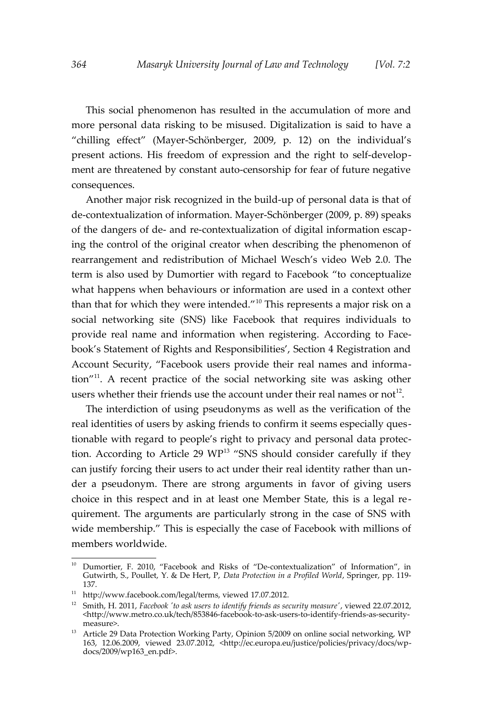This social phenomenon has resulted in the accumulation of more and more personal data risking to be misused. Digitalization is said to have a "chilling effect" (Mayer-Schönberger, 2009, p. 12) on the individual's present actions. His freedom of expression and the right to self-development are threatened by constant auto-censorship for fear of future negative consequences.

Another major risk recognized in the build-up of personal data is that of de-contextualization of information. Mayer-Schönberger (2009, p. 89) speaks of the dangers of de- and re-contextualization of digital information escaping the control of the original creator when describing the phenomenon of rearrangement and redistribution of Michael Wesch's video Web 2.0. The term is also used by Dumortier with regard to Facebook "to conceptualize what happens when behaviours or information are used in a context other than that for which they were intended."[10](#page-3-0) This represents a major risk on a social networking site (SNS) like Facebook that requires individuals to provide real name and information when registering. According to Facebook's Statement of Rights and Responsibilities', Section 4 Registration and Account Security, "Facebook users provide their real names and information"[11](#page-3-1). A recent practice of the social networking site was asking other users whether their friends use the account under their real names or not<sup>[12](#page-3-2)</sup>.

The interdiction of using pseudonyms as well as the verification of the real identities of users by asking friends to confirm it seems especially questionable with regard to people's right to privacy and personal data protection. According to Article 29  $WP^{13}$  $WP^{13}$  $WP^{13}$  "SNS should consider carefully if they can justify forcing their users to act under their real identity rather than under a pseudonym. There are strong arguments in favor of giving users choice in this respect and in at least one Member State, this is a legal requirement. The arguments are particularly strong in the case of SNS with wide membership." This is especially the case of Facebook with millions of members worldwide.

<span id="page-3-0"></span><sup>&</sup>lt;sup>10</sup> Dumortier, F. 2010, "Facebook and Risks of "De-contextualization" of Information", in Gutwirth, S., Poullet, Y. & De Hert, P, *Data Protection in a Profiled World*, Springer, pp. 119- 137.

<span id="page-3-1"></span> $11$  http://www.facebook.com/legal/terms, viewed 17.07.2012.

<span id="page-3-2"></span><sup>&</sup>lt;sup>12</sup> Smith, H. 2011, *Facebook 'to ask users to identify friends as security measure'*, viewed 22.07.2012, <http://www.metro.co.uk/tech/853846-facebook-to-ask-users-to-identify-friends-as-securitymeasure>.

<span id="page-3-3"></span><sup>&</sup>lt;sup>13</sup> Article 29 Data Protection Working Party, Opinion 5/2009 on online social networking, WP 163, 12.06.2009, viewed 23.07.2012, <http://ec.europa.eu/justice/policies/privacy/docs/wpdocs/2009/wp163\_en.pdf>.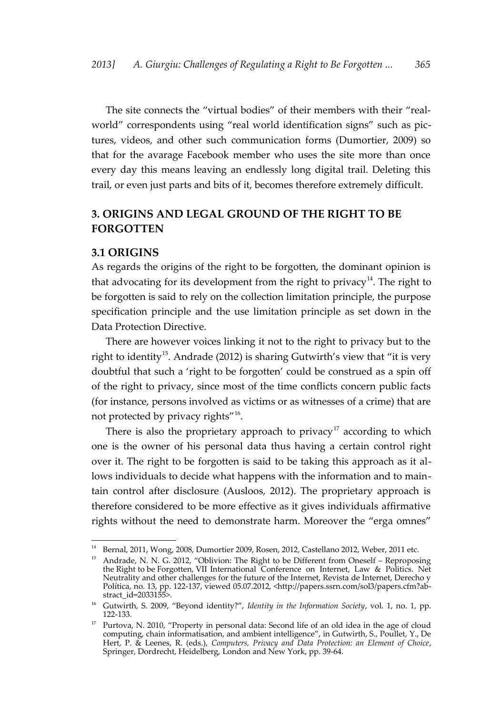The site connects the "virtual bodies" of their members with their "realworld" correspondents using "real world identification signs" such as pictures, videos, and other such communication forms (Dumortier, 2009) so that for the avarage Facebook member who uses the site more than once every day this means leaving an endlessly long digital trail. Deleting this trail, or even just parts and bits of it, becomes therefore extremely difficult.

# **3. ORIGINS AND LEGAL GROUND OF THE RIGHT TO BE FORGOTTEN**

#### **3.1 ORIGINS**

As regards the origins of the right to be forgotten, the dominant opinion is that advocating for its development from the right to privacy<sup>[14](#page-4-0)</sup>. The right to be forgotten is said to rely on the collection limitation principle, the purpose specification principle and the use limitation principle as set down in the Data Protection Directive.

There are however voices linking it not to the right to privacy but to the right to identity<sup>[15](#page-4-1)</sup>. Andrade (2012) is sharing Gutwirth's view that "it is very doubtful that such a 'right to be forgotten' could be construed as a spin off of the right to privacy, since most of the time conflicts concern public facts (for instance, persons involved as victims or as witnesses of a crime) that are not protected by privacy rights"<sup>[16](#page-4-2)</sup>.

There is also the proprietary approach to privacy<sup>[17](#page-4-3)</sup> according to which one is the owner of his personal data thus having a certain control right over it. The right to be forgotten is said to be taking this approach as it allows individuals to decide what happens with the information and to maintain control after disclosure (Ausloos, 2012). The proprietary approach is therefore considered to be more effective as it gives individuals affirmative rights without the need to demonstrate harm. Moreover the "erga omnes"

<span id="page-4-0"></span><sup>&</sup>lt;sup>14</sup> Bernal, 2011, Wong, 2008, Dumortier 2009, Rosen, 2012, Castellano 2012, Weber, 2011 etc.

<span id="page-4-1"></span><sup>&</sup>lt;sup>15</sup> Andrade, N. N. G. 2012, "Oblivion: The Right to be Different from Oneself – Reproposing the Right to be Forgotten, VII International Conference on Internet, Law & Politics. Net Neutrality and other challenges for the future of the Internet, Revista de Internet, Derecho y Política, no. 13, pp. 122-137, viewed 05.07.2012, <http://papers.ssrn.com/sol3/papers.cfm?abstract\_id=2033155>.

<span id="page-4-2"></span><sup>16</sup> Gutwirth, S. 2009, "Beyond identity?", *Identity in the Information Society*, vol. 1, no. 1, pp. 122-133.

<span id="page-4-3"></span><sup>&</sup>lt;sup>17</sup> Purtova, N. 2010, "Property in personal data: Second life of an old idea in the age of cloud computing, chain informatisation, and ambient intelligence", in Gutwirth, S., Poullet, Y., De Hert, P. & Leenes, R. (eds.), *Computers, Privacy and Data Protection: an Element of Choice*, Springer, Dordrecht, Heidelberg, London and New York, pp. 39-64.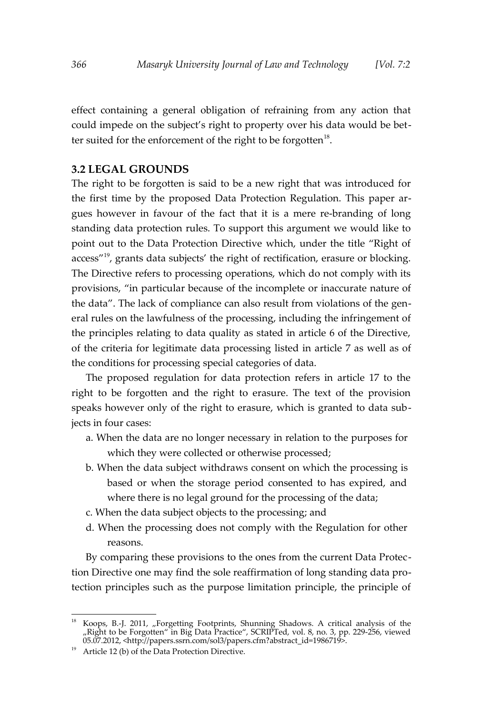effect containing a general obligation of refraining from any action that could impede on the subject's right to property over his data would be bet-ter suited for the enforcement of the right to be forgotten<sup>[18](#page-5-0)</sup>.

#### **3.2 LEGAL GROUNDS**

The right to be forgotten is said to be a new right that was introduced for the first time by the proposed Data Protection Regulation. This paper argues however in favour of the fact that it is a mere re-branding of long standing data protection rules. To support this argument we would like to point out to the Data Protection Directive which, under the title "Right of access"<sup>[19](#page-5-1)</sup>, grants data subjects' the right of rectification, erasure or blocking. The Directive refers to processing operations, which do not comply with its provisions, "in particular because of the incomplete or inaccurate nature of the data". The lack of compliance can also result from violations of the general rules on the lawfulness of the processing, including the infringement of the principles relating to data quality as stated in article 6 of the Directive, of the criteria for legitimate data processing listed in article 7 as well as of the conditions for processing special categories of data.

The proposed regulation for data protection refers in article 17 to the right to be forgotten and the right to erasure. The text of the provision speaks however only of the right to erasure, which is granted to data subjects in four cases:

- a. When the data are no longer necessary in relation to the purposes for which they were collected or otherwise processed;
- b. When the data subject withdraws consent on which the processing is based or when the storage period consented to has expired, and where there is no legal ground for the processing of the data;
- c. When the data subject objects to the processing; and
- d. When the processing does not comply with the Regulation for other reasons.

By comparing these provisions to the ones from the current Data Protection Directive one may find the sole reaffirmation of long standing data protection principles such as the purpose limitation principle, the principle of

<span id="page-5-0"></span><sup>&</sup>lt;sup>18</sup> Koops, B.-J. 2011, "Forgetting Footprints, Shunning Shadows. A critical analysis of the "Right to be Forgotten" in Big Data Practice", SCRIPTed, vol. 8, no. 3, pp. 229-256, viewed 05.07.2012, <http://papers.ssrn.com/sol3/papers.cfm?abstract\_id=1986719>.

<span id="page-5-1"></span><sup>&</sup>lt;sup>19</sup> Article 12 (b) of the Data Protection Directive.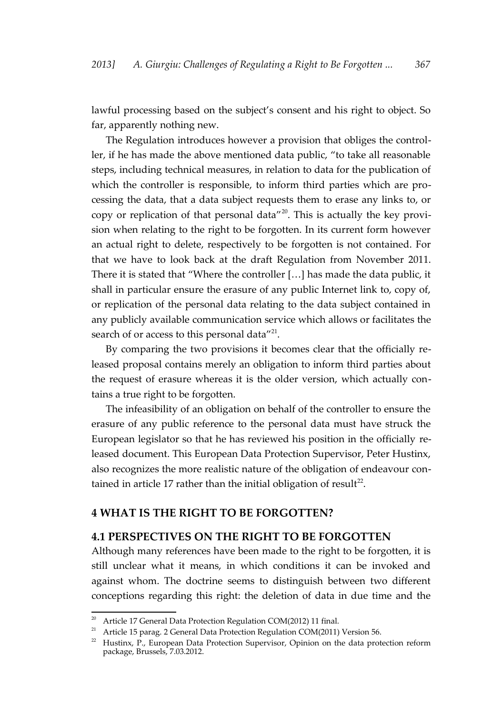lawful processing based on the subject's consent and his right to object. So far, apparently nothing new.

The Regulation introduces however a provision that obliges the controller, if he has made the above mentioned data public, "to take all reasonable steps, including technical measures, in relation to data for the publication of which the controller is responsible, to inform third parties which are processing the data, that a data subject requests them to erase any links to, or copy or replication of that personal data"[20](#page-6-0). This is actually the key provision when relating to the right to be forgotten. In its current form however an actual right to delete, respectively to be forgotten is not contained. For that we have to look back at the draft Regulation from November 2011. There it is stated that "Where the controller […] has made the data public, it shall in particular ensure the erasure of any public Internet link to, copy of, or replication of the personal data relating to the data subject contained in any publicly available communication service which allows or facilitates the search of or access to this personal data"<sup>[21](#page-6-1)</sup>.

By comparing the two provisions it becomes clear that the officially released proposal contains merely an obligation to inform third parties about the request of erasure whereas it is the older version, which actually contains a true right to be forgotten.

The infeasibility of an obligation on behalf of the controller to ensure the erasure of any public reference to the personal data must have struck the European legislator so that he has reviewed his position in the officially released document. This European Data Protection Supervisor, Peter Hustinx, also recognizes the more realistic nature of the obligation of endeavour con-tained in article 17 rather than the initial obligation of result<sup>[22](#page-6-2)</sup>.

## **4 WHAT IS THE RIGHT TO BE FORGOTTEN?**

# **4.1 PERSPECTIVES ON THE RIGHT TO BE FORGOTTEN**

Although many references have been made to the right to be forgotten, it is still unclear what it means, in which conditions it can be invoked and against whom. The doctrine seems to distinguish between two different conceptions regarding this right: the deletion of data in due time and the

<span id="page-6-0"></span><sup>&</sup>lt;sup>20</sup> Article 17 General Data Protection Regulation COM(2012) 11 final.

<span id="page-6-1"></span><sup>&</sup>lt;sup>21</sup> Article 15 parag. 2 General Data Protection Regulation COM(2011) Version 56.

<span id="page-6-2"></span> $22$  Hustinx, P., European Data Protection Supervisor, Opinion on the data protection reform package, Brussels, 7.03.2012.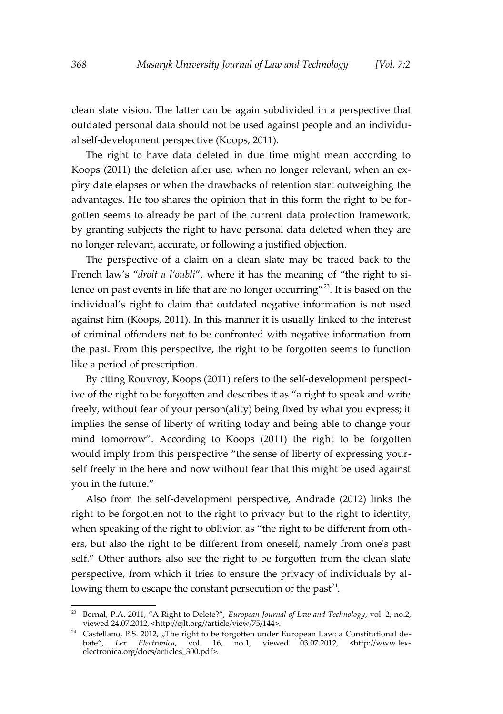clean slate vision. The latter can be again subdivided in a perspective that outdated personal data should not be used against people and an individual self-development perspective (Koops, 2011).

The right to have data deleted in due time might mean according to Koops (2011) the deletion after use, when no longer relevant, when an expiry date elapses or when the drawbacks of retention start outweighing the advantages. He too shares the opinion that in this form the right to be forgotten seems to already be part of the current data protection framework, by granting subjects the right to have personal data deleted when they are no longer relevant, accurate, or following a justified objection.

The perspective of a claim on a clean slate may be traced back to the French law's "*droit a l'oubli*", where it has the meaning of "the right to si-lence on past events in life that are no longer occurring"<sup>[23](#page-7-0)</sup>. It is based on the individual's right to claim that outdated negative information is not used against him (Koops, 2011). In this manner it is usually linked to the interest of criminal offenders not to be confronted with negative information from the past. From this perspective, the right to be forgotten seems to function like a period of prescription.

By citing Rouvroy, Koops (2011) refers to the self-development perspective of the right to be forgotten and describes it as "a right to speak and write freely, without fear of your person(ality) being fixed by what you express; it implies the sense of liberty of writing today and being able to change your mind tomorrow". According to Koops (2011) the right to be forgotten would imply from this perspective "the sense of liberty of expressing yourself freely in the here and now without fear that this might be used against you in the future."

Also from the self-development perspective, Andrade (2012) links the right to be forgotten not to the right to privacy but to the right to identity, when speaking of the right to oblivion as "the right to be different from others, but also the right to be different from oneself, namely from one's past self." Other authors also see the right to be forgotten from the clean slate perspective, from which it tries to ensure the privacy of individuals by al-lowing them to escape the constant persecution of the past<sup>[24](#page-7-1)</sup>.

<span id="page-7-0"></span><sup>23</sup> Bernal, P.A. 2011, "A Right to Delete?", *European Journal of Law and Technology*, vol. 2, no.2, viewed 24.07.2012, <http://ejlt.org//article/view/75/144>.

<span id="page-7-1"></span> $24$  Castellano, P.S. 2012, "The right to be forgotten under European Law: a Constitutional debate", *Lex Electronica*, vol. 16, no.1, viewed 03.07.2012, <http://www.lexelectronica.org/docs/articles\_300.pdf>.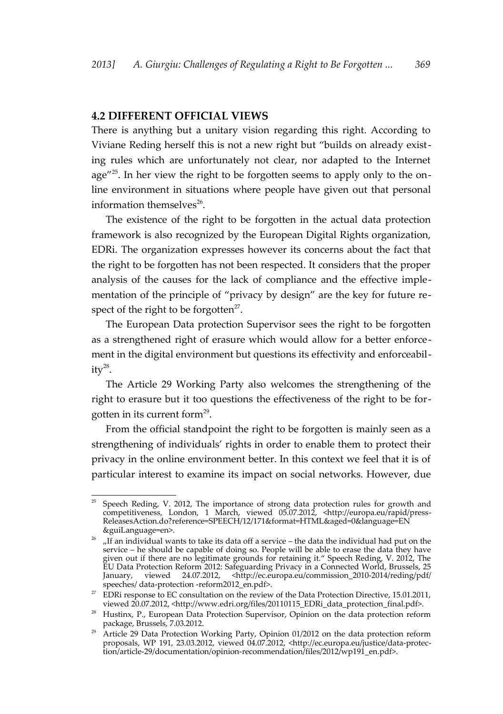#### **4.2 DIFFERENT OFFICIAL VIEWS**

There is anything but a unitary vision regarding this right. According to Viviane Reding herself this is not a new right but "builds on already existing rules which are unfortunately not clear, nor adapted to the Internet age"[25](#page-8-0). In her view the right to be forgotten seems to apply only to the online environment in situations where people have given out that personal information themselves<sup>[26](#page-8-1)</sup>.

The existence of the right to be forgotten in the actual data protection framework is also recognized by the European Digital Rights organization, EDRi. The organization expresses however its concerns about the fact that the right to be forgotten has not been respected. It considers that the proper analysis of the causes for the lack of compliance and the effective implementation of the principle of "privacy by design" are the key for future respect of the right to be forgotten $2^7$ .

The European Data protection Supervisor sees the right to be forgotten as a strengthened right of erasure which would allow for a better enforcement in the digital environment but questions its effectivity and enforceability $^{28}$  $^{28}$  $^{28}$ .

The Article 29 Working Party also welcomes the strengthening of the right to erasure but it too questions the effectiveness of the right to be for-gotten in its current form<sup>[29](#page-8-4)</sup>.

From the official standpoint the right to be forgotten is mainly seen as a strengthening of individuals' rights in order to enable them to protect their privacy in the online environment better. In this context we feel that it is of particular interest to examine its impact on social networks. However, due

<span id="page-8-0"></span><sup>25</sup> Speech Reding, V. 2012, The importance of strong data protection rules for growth and competitiveness, London, 1 March, viewed 05.07.2012, <http://europa.eu/rapid/press-ReleasesAction.do?reference=SPEECH/12/171&format=HTML&aged=0&language=EN &guiLanguage=en>.

<span id="page-8-1"></span><sup>&</sup>lt;sup>26</sup> "If an individual wants to take its data off a service – the data the individual had put on the service – he should be capable of doing so. People will be able to erase the data they have given out if there are no legitimate grounds for retaining it." Speech Reding, V. 2012, The EU Data Protection Reform 2012: Safeguarding Privacy in a Connected World, Brussels, 25 January, viewed 24.07.2012, <http://ec.europa.eu/commission\_2010-2014/reding/pdf/ speeches/ data-protection -reform2012\_en.pdf>.

<span id="page-8-2"></span><sup>&</sup>lt;sup>27</sup> EDRi response to EC consultation on the review of the Data Protection Directive, 15.01.2011, viewed 20.07.2012, <http://www.edri.org/files/20110115\_EDRi\_data\_protection\_final.pdf>.

<span id="page-8-3"></span> $28$  Hustinx, P., European Data Protection Supervisor, Opinion on the data protection reform package, Brussels, 7.03.2012.

<span id="page-8-4"></span><sup>&</sup>lt;sup>29</sup> Article 29 Data Protection Working Party, Opinion 01/2012 on the data protection reform proposals, WP 191, 23.03.2012, viewed 04.07.2012, <http://ec.europa.eu/justice/data-protection/article-29/documentation/opinion-recommendation/files/2012/wp191\_en.pdf>.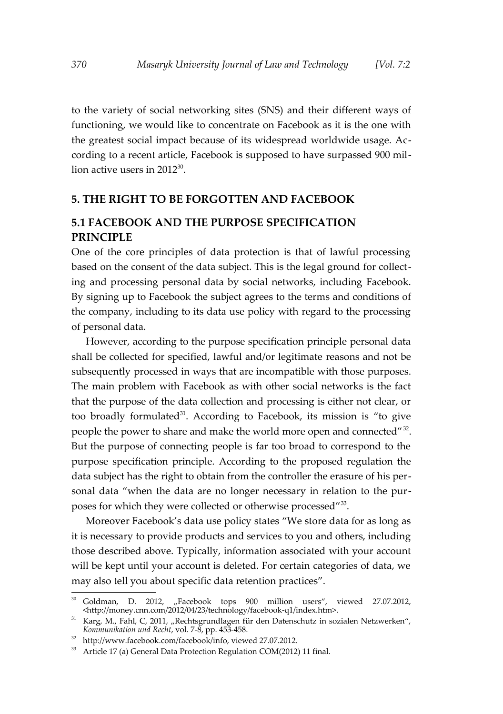to the variety of social networking sites (SNS) and their different ways of functioning, we would like to concentrate on Facebook as it is the one with the greatest social impact because of its widespread worldwide usage. According to a recent article, Facebook is supposed to have surpassed 900 million active users in 2012 $^{\rm 30}$  $^{\rm 30}$  $^{\rm 30}$ .

## **5. THE RIGHT TO BE FORGOTTEN AND FACEBOOK**

# **5.1 FACEBOOK AND THE PURPOSE SPECIFICATION PRINCIPLE**

One of the core principles of data protection is that of lawful processing based on the consent of the data subject. This is the legal ground for collecting and processing personal data by social networks, including Facebook. By signing up to Facebook the subject agrees to the terms and conditions of the company, including to its data use policy with regard to the processing of personal data.

However, according to the purpose specification principle personal data shall be collected for specified, lawful and/or legitimate reasons and not be subsequently processed in ways that are incompatible with those purposes. The main problem with Facebook as with other social networks is the fact that the purpose of the data collection and processing is either not clear, or too broadly formulated $31$ . According to Facebook, its mission is "to give people the power to share and make the world more open and connected"<sup>[32](#page-9-2)</sup>. But the purpose of connecting people is far too broad to correspond to the purpose specification principle. According to the proposed regulation the data subject has the right to obtain from the controller the erasure of his personal data "when the data are no longer necessary in relation to the pur-poses for which they were collected or otherwise processed"<sup>[33](#page-9-3)</sup>.

Moreover Facebook's data use policy states "We store data for as long as it is necessary to provide products and services to you and others, including those described above. Typically, information associated with your account will be kept until your account is deleted. For certain categories of data, we may also tell you about specific data retention practices".

<span id="page-9-0"></span><sup>30</sup> Goldman, D. 2012, "Facebook tops 900 million users", viewed 27.07.2012, <http://money.cnn.com/2012/04/23/technology/facebook-q1/index.htm>.

<span id="page-9-1"></span> $31$  Karg, M., Fahl, C, 2011, "Rechtsgrundlagen für den Datenschutz in sozialen Netzwerken", *Kommunikation und Recht*, vol. 7-8, pp. 453-458.

<span id="page-9-2"></span><sup>32</sup> http://www.facebook.com/facebook/info, viewed 27.07.2012.

<span id="page-9-3"></span><sup>&</sup>lt;sup>33</sup> Article 17 (a) General Data Protection Regulation COM(2012) 11 final.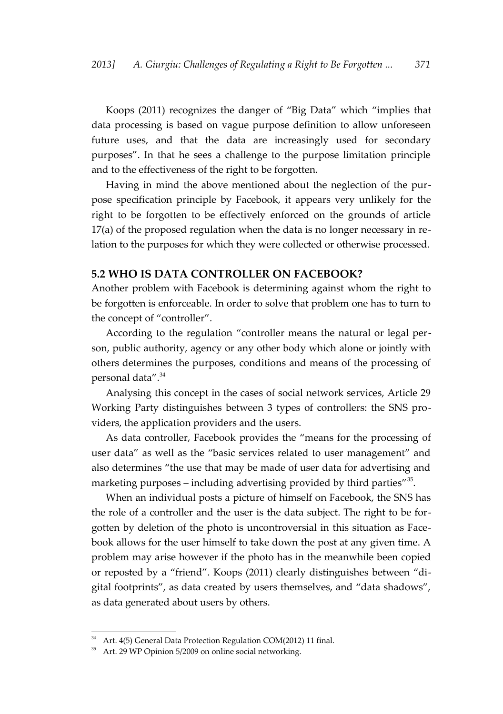Koops (2011) recognizes the danger of "Big Data" which "implies that data processing is based on vague purpose definition to allow unforeseen future uses, and that the data are increasingly used for secondary purposes". In that he sees a challenge to the purpose limitation principle and to the effectiveness of the right to be forgotten.

Having in mind the above mentioned about the neglection of the purpose specification principle by Facebook, it appears very unlikely for the right to be forgotten to be effectively enforced on the grounds of article 17(a) of the proposed regulation when the data is no longer necessary in relation to the purposes for which they were collected or otherwise processed.

### **5.2 WHO IS DATA CONTROLLER ON FACEBOOK?**

Another problem with Facebook is determining against whom the right to be forgotten is enforceable. In order to solve that problem one has to turn to the concept of "controller".

According to the regulation "controller means the natural or legal person, public authority, agency or any other body which alone or jointly with others determines the purposes, conditions and means of the processing of personal data".<sup>[34](#page-10-0)</sup>

Analysing this concept in the cases of social network services, Article 29 Working Party distinguishes between 3 types of controllers: the SNS providers, the application providers and the users.

As data controller, Facebook provides the "means for the processing of user data" as well as the "basic services related to user management" and also determines "the use that may be made of user data for advertising and marketing purposes – including advertising provided by third parties"<sup>[35](#page-10-1)</sup>.

When an individual posts a picture of himself on Facebook, the SNS has the role of a controller and the user is the data subject. The right to be forgotten by deletion of the photo is uncontroversial in this situation as Facebook allows for the user himself to take down the post at any given time. A problem may arise however if the photo has in the meanwhile been copied or reposted by a "friend". Koops (2011) clearly distinguishes between "digital footprints", as data created by users themselves, and "data shadows", as data generated about users by others.

<span id="page-10-0"></span><sup>&</sup>lt;sup>34</sup> Art. 4(5) General Data Protection Regulation COM(2012) 11 final.

<span id="page-10-1"></span><sup>35</sup> Art. 29 WP Opinion 5/2009 on online social networking.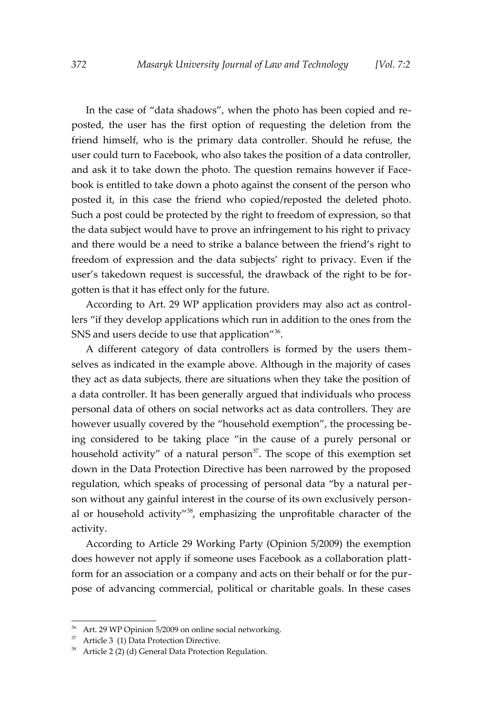In the case of "data shadows", when the photo has been copied and reposted, the user has the first option of requesting the deletion from the friend himself, who is the primary data controller. Should he refuse, the user could turn to Facebook, who also takes the position of a data controller, and ask it to take down the photo. The question remains however if Facebook is entitled to take down a photo against the consent of the person who posted it, in this case the friend who copied/reposted the deleted photo. Such a post could be protected by the right to freedom of expression, so that the data subject would have to prove an infringement to his right to privacy and there would be a need to strike a balance between the friend's right to freedom of expression and the data subjects' right to privacy. Even if the user's takedown request is successful, the drawback of the right to be forgotten is that it has effect only for the future.

According to Art. 29 WP application providers may also act as controllers "if they develop applications which run in addition to the ones from the SNS and users decide to use that application $^{\prime\prime 36}$  $^{\prime\prime 36}$  $^{\prime\prime 36}$ .

A different category of data controllers is formed by the users themselves as indicated in the example above. Although in the majority of cases they act as data subjects, there are situations when they take the position of a data controller. It has been generally argued that individuals who process personal data of others on social networks act as data controllers. They are however usually covered by the "household exemption", the processing being considered to be taking place "in the cause of a purely personal or household activity" of a natural person $37$ . The scope of this exemption set down in the Data Protection Directive has been narrowed by the proposed regulation, which speaks of processing of personal data "by a natural person without any gainful interest in the course of its own exclusively personal or household activity" $3<sup>8</sup>$ , emphasizing the unprofitable character of the activity.

According to Article 29 Working Party (Opinion 5/2009) the exemption does however not apply if someone uses Facebook as a collaboration plattform for an association or a company and acts on their behalf or for the purpose of advancing commercial, political or charitable goals. In these cases

<span id="page-11-0"></span><sup>36</sup> Art. 29 WP Opinion 5/2009 on online social networking.

<span id="page-11-1"></span> $37$  Article 3 (1) Data Protection Directive.

<span id="page-11-2"></span><sup>&</sup>lt;sup>38</sup> Article 2 (2) (d) General Data Protection Regulation.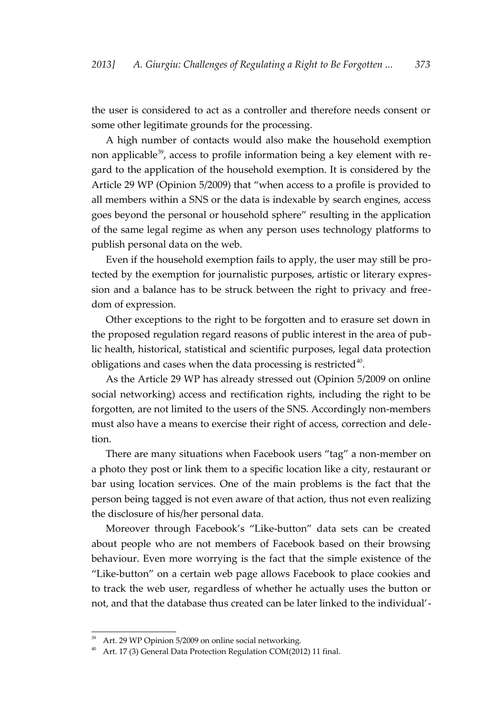the user is considered to act as a controller and therefore needs consent or some other legitimate grounds for the processing.

A high number of contacts would also make the household exemption non applicable<sup>[39](#page-12-0)</sup>, access to profile information being a key element with regard to the application of the household exemption. It is considered by the Article 29 WP (Opinion 5/2009) that "when access to a profile is provided to all members within a SNS or the data is indexable by search engines, access goes beyond the personal or household sphere" resulting in the application of the same legal regime as when any person uses technology platforms to publish personal data on the web.

Even if the household exemption fails to apply, the user may still be protected by the exemption for journalistic purposes, artistic or literary expression and a balance has to be struck between the right to privacy and freedom of expression.

Other exceptions to the right to be forgotten and to erasure set down in the proposed regulation regard reasons of public interest in the area of public health, historical, statistical and scientific purposes, legal data protection obligations and cases when the data processing is restricted $40$ .

As the Article 29 WP has already stressed out (Opinion 5/2009 on online social networking) access and rectification rights, including the right to be forgotten, are not limited to the users of the SNS. Accordingly non-members must also have a means to exercise their right of access, correction and deletion.

There are many situations when Facebook users "tag" a non-member on a photo they post or link them to a specific location like a city, restaurant or bar using location services. One of the main problems is the fact that the person being tagged is not even aware of that action, thus not even realizing the disclosure of his/her personal data.

Moreover through Facebook's "Like-button" data sets can be created about people who are not members of Facebook based on their browsing behaviour. Even more worrying is the fact that the simple existence of the "Like-button" on a certain web page allows Facebook to place cookies and to track the web user, regardless of whether he actually uses the button or not, and that the database thus created can be later linked to the individual'-

<span id="page-12-0"></span><sup>39</sup> Art. 29 WP Opinion 5/2009 on online social networking.

<span id="page-12-1"></span><sup>40</sup> Art. 17 (3) General Data Protection Regulation COM(2012) 11 final.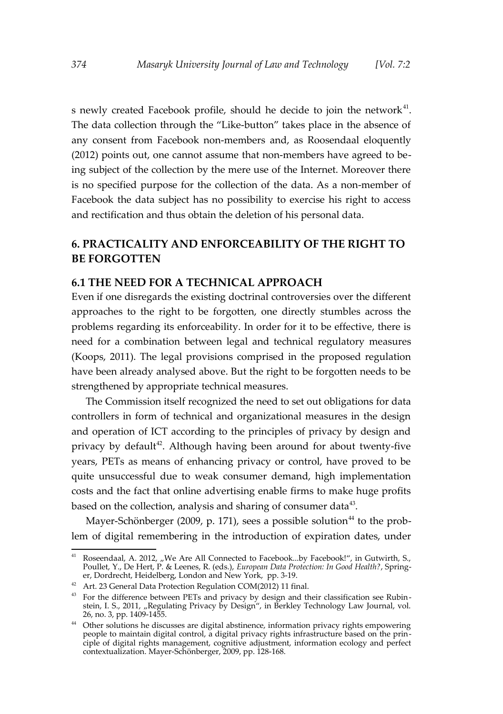s newly created Facebook profile, should he decide to join the network<sup>[41](#page-13-0)</sup>. The data collection through the "Like-button" takes place in the absence of any consent from Facebook non-members and, as Roosendaal eloquently (2012) points out, one cannot assume that non-members have agreed to being subject of the collection by the mere use of the Internet. Moreover there is no specified purpose for the collection of the data. As a non-member of Facebook the data subject has no possibility to exercise his right to access and rectification and thus obtain the deletion of his personal data.

# **6. PRACTICALITY AND ENFORCEABILITY OF THE RIGHT TO BE FORGOTTEN**

#### **6.1 THE NEED FOR A TECHNICAL APPROACH**

Even if one disregards the existing doctrinal controversies over the different approaches to the right to be forgotten, one directly stumbles across the problems regarding its enforceability. In order for it to be effective, there is need for a combination between legal and technical regulatory measures (Koops, 2011). The legal provisions comprised in the proposed regulation have been already analysed above. But the right to be forgotten needs to be strengthened by appropriate technical measures.

The Commission itself recognized the need to set out obligations for data controllers in form of technical and organizational measures in the design and operation of ICT according to the principles of privacy by design and privacy by default $42$ . Although having been around for about twenty-five years, PETs as means of enhancing privacy or control, have proved to be quite unsuccessful due to weak consumer demand, high implementation costs and the fact that online advertising enable firms to make huge profits based on the collection, analysis and sharing of consumer data<sup>[43](#page-13-2)</sup>.

Mayer-Schönberger (2009, p. 171), sees a possible solution<sup>[44](#page-13-3)</sup> to the problem of digital remembering in the introduction of expiration dates, under

<span id="page-13-0"></span><sup>&</sup>lt;sup>41</sup> Roseendaal, A. 2012, "We Are All Connected to Facebook...by Facebook!", in Gutwirth, S., Poullet, Y., De Hert, P. & Leenes, R. (eds.), *European Data Protection: In Good Health?*, Springer, Dordrecht, Heidelberg, London and New York, pp. 3-19.

<span id="page-13-1"></span><sup>42</sup> Art. 23 General Data Protection Regulation COM(2012) 11 final.

<span id="page-13-2"></span> $43$  For the difference between PETs and privacy by design and their classification see Rubinstein, I. S., 2011, "Regulating Privacy by Design", in Berkley Technology Law Journal, vol. 26, no. 3, pp. 1409-1455.

<span id="page-13-3"></span><sup>&</sup>lt;sup>44</sup> Other solutions he discusses are digital abstinence, information privacy rights empowering people to maintain digital control, a digital privacy rights infrastructure based on the principle of digital rights management, cognitive adjustment, information ecology and perfect contextualization. Mayer-Schönberger, 2009, pp. 128-168.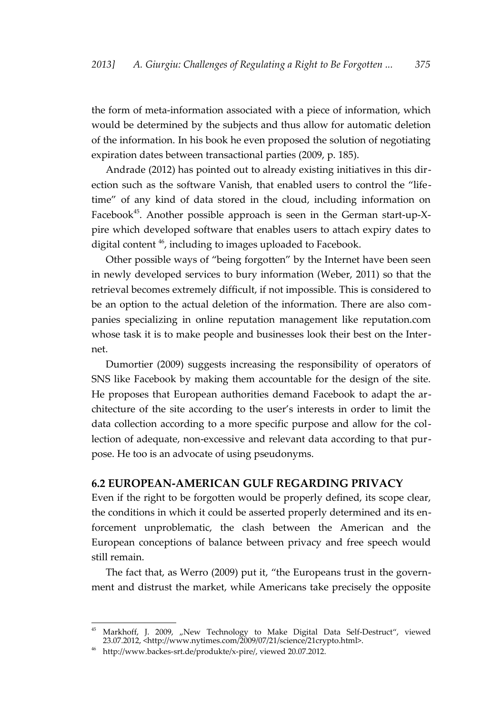the form of meta-information associated with a piece of information, which would be determined by the subjects and thus allow for automatic deletion of the information. In his book he even proposed the solution of negotiating expiration dates between transactional parties (2009, p. 185).

Andrade (2012) has pointed out to already existing initiatives in this direction such as the software Vanish, that enabled users to control the "lifetime" of any kind of data stored in the cloud, including information on Facebook<sup>[45](#page-14-0)</sup>. Another possible approach is seen in the German start-up-Xpire which developed software that enables users to attach expiry dates to digital content<sup>[46](#page-14-1)</sup>, including to images uploaded to Facebook.

Other possible ways of "being forgotten" by the Internet have been seen in newly developed services to bury information (Weber, 2011) so that the retrieval becomes extremely difficult, if not impossible. This is considered to be an option to the actual deletion of the information. There are also companies specializing in online reputation management like reputation.com whose task it is to make people and businesses look their best on the Internet.

Dumortier (2009) suggests increasing the responsibility of operators of SNS like Facebook by making them accountable for the design of the site. He proposes that European authorities demand Facebook to adapt the architecture of the site according to the user's interests in order to limit the data collection according to a more specific purpose and allow for the collection of adequate, non-excessive and relevant data according to that purpose. He too is an advocate of using pseudonyms.

#### **6.2 EUROPEAN-AMERICAN GULF REGARDING PRIVACY**

Even if the right to be forgotten would be properly defined, its scope clear, the conditions in which it could be asserted properly determined and its enforcement unproblematic, the clash between the American and the European conceptions of balance between privacy and free speech would still remain.

The fact that, as Werro (2009) put it, "the Europeans trust in the government and distrust the market, while Americans take precisely the opposite

<span id="page-14-0"></span><sup>&</sup>lt;sup>45</sup> Markhoff, J. 2009, "New Technology to Make Digital Data Self-Destruct", viewed 23.07.2012, <http://www.nytimes.com/2009/07/21/science/21crypto.html>.

<span id="page-14-1"></span><sup>46</sup> http://www.backes-srt.de/produkte/x-pire/, viewed 20.07.2012.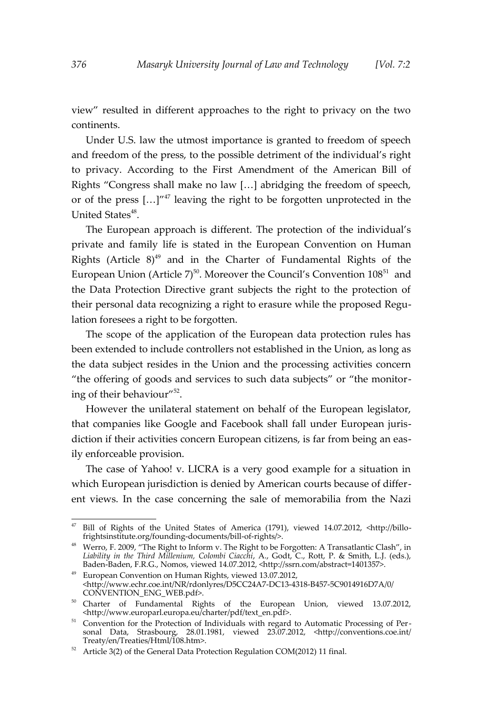view" resulted in different approaches to the right to privacy on the two continents.

Under U.S. law the utmost importance is granted to freedom of speech and freedom of the press, to the possible detriment of the individual's right to privacy. According to the First Amendment of the American Bill of Rights "Congress shall make no law […] abridging the freedom of speech, or of the press  $[...]^{n47}$  $[...]^{n47}$  $[...]^{n47}$  leaving the right to be forgotten unprotected in the United States<sup>[48](#page-15-1)</sup>.

The European approach is different. The protection of the individual's private and family life is stated in the European Convention on Human Rights (Article  $8$ )<sup>[49](#page-15-2)</sup> and in the Charter of Fundamental Rights of the European Union (Article  $7)^{50}$  $7)^{50}$  $7)^{50}$ . Moreover the Council's Convention 108<sup>[51](#page-15-4)</sup> and the Data Protection Directive grant subjects the right to the protection of their personal data recognizing a right to erasure while the proposed Regulation foresees a right to be forgotten.

The scope of the application of the European data protection rules has been extended to include controllers not established in the Union, as long as the data subject resides in the Union and the processing activities concern "the offering of goods and services to such data subjects" or "the monitor-ing of their behaviour"<sup>[52](#page-15-5)</sup>.

However the unilateral statement on behalf of the European legislator, that companies like Google and Facebook shall fall under European jurisdiction if their activities concern European citizens, is far from being an easily enforceable provision.

The case of Yahoo! v. LICRA is a very good example for a situation in which European jurisdiction is denied by American courts because of different views. In the case concerning the sale of memorabilia from the Nazi

<span id="page-15-0"></span> $47$  Bill of Rights of the United States of America (1791), viewed 14.07.2012, <http://billofrightsinstitute.org/founding-documents/bill-of-rights/>.

<span id="page-15-1"></span> $48$  Werro, F. 2009, "The Right to Inform v. The Right to be Forgotten: A Transatlantic Clash", in *Liability in the Third Millenium, Colombi Ciacchi*, A., Godt, C., Rott, P. & Smith, L.J. (eds.), Baden-Baden, F.R.G., Nomos, viewed 14.07.2012, <http://ssrn.com/abstract=1401357>.

<span id="page-15-2"></span><sup>49</sup> European Convention on Human Rights, viewed 13.07.2012, <http://www.echr.coe.int/NR/rdonlyres/D5CC24A7-DC13-4318-B457-5C9014916D7A/0/ CONVENTION\_ENG\_WEB.pdf>.

<span id="page-15-3"></span><sup>50</sup> Charter of Fundamental Rights of the European Union, viewed 13.07.2012, <http://www.europarl.europa.eu/charter/pdf/text\_en.pdf>.

<span id="page-15-4"></span><sup>&</sup>lt;sup>51</sup> Convention for the Protection of Individuals with regard to Automatic Processing of Personal Data, Strasbourg, 28.01.1981, viewed 23.07.2012, <http://conventions.coe.int/ Treaty/en/Treaties/Html/108.htm>.

<span id="page-15-5"></span><sup>&</sup>lt;sup>52</sup> Article 3(2) of the General Data Protection Regulation COM(2012) 11 final.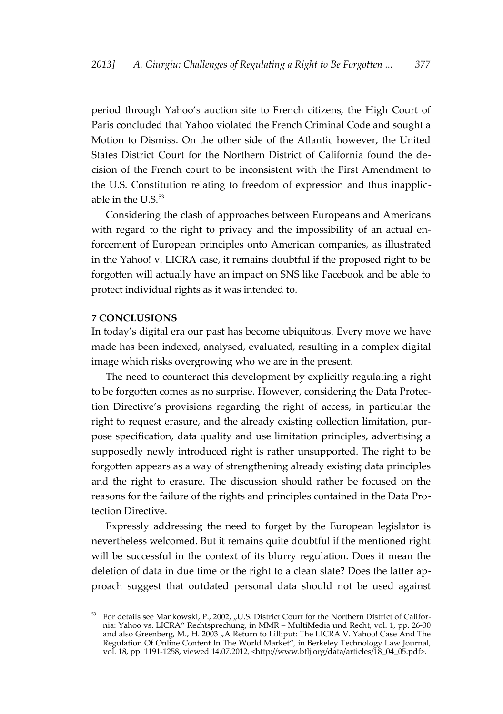period through Yahoo's auction site to French citizens, the High Court of Paris concluded that Yahoo violated the French Criminal Code and sought a Motion to Dismiss. On the other side of the Atlantic however, the United States District Court for the Northern District of California found the decision of the French court to be inconsistent with the First Amendment to the U.S. Constitution relating to freedom of expression and thus inapplicable in the  $U.S.<sup>53</sup>$  $U.S.<sup>53</sup>$  $U.S.<sup>53</sup>$ 

Considering the clash of approaches between Europeans and Americans with regard to the right to privacy and the impossibility of an actual enforcement of European principles onto American companies, as illustrated in the Yahoo! v. LICRA case, it remains doubtful if the proposed right to be forgotten will actually have an impact on SNS like Facebook and be able to protect individual rights as it was intended to.

#### **7 CONCLUSIONS**

In today's digital era our past has become ubiquitous. Every move we have made has been indexed, analysed, evaluated, resulting in a complex digital image which risks overgrowing who we are in the present.

The need to counteract this development by explicitly regulating a right to be forgotten comes as no surprise. However, considering the Data Protection Directive's provisions regarding the right of access, in particular the right to request erasure, and the already existing collection limitation, purpose specification, data quality and use limitation principles, advertising a supposedly newly introduced right is rather unsupported. The right to be forgotten appears as a way of strengthening already existing data principles and the right to erasure. The discussion should rather be focused on the reasons for the failure of the rights and principles contained in the Data Protection Directive.

Expressly addressing the need to forget by the European legislator is nevertheless welcomed. But it remains quite doubtful if the mentioned right will be successful in the context of its blurry regulation. Does it mean the deletion of data in due time or the right to a clean slate? Does the latter approach suggest that outdated personal data should not be used against

<span id="page-16-0"></span><sup>53</sup> For details see Mankowski, P., 2002, "U.S. District Court for the Northern District of California: Yahoo vs. LICRA" Rechtsprechung, in MMR – MultiMedia und Recht, vol. 1, pp. 26-30 and also Greenberg, M., H. 2003 ,, A Return to Lilliput: The LICRA V. Yahoo! Case And The Regulation Of Online Content In The World Market", in Berkeley Technology Law Journal, vol. 18, pp. 1191-1258, viewed 14.07.2012, <http://www.btlj.org/data/articles/18\_04\_05.pdf>.